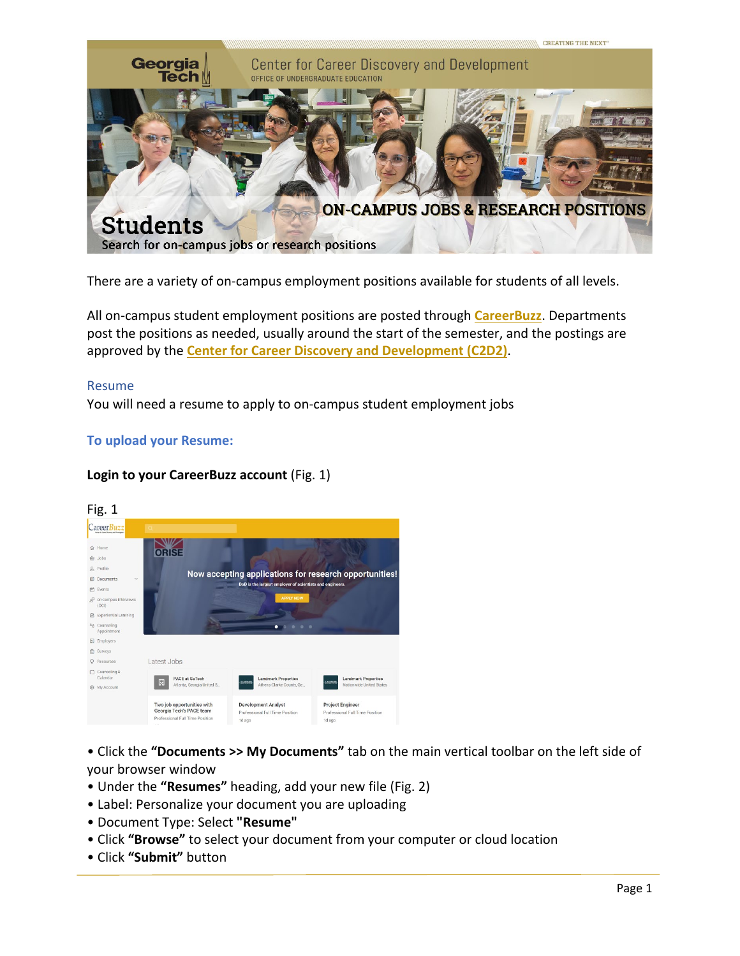

There are a variety of on-campus employment positions available for students of all levels.

All on-campus student employment positions are posted through **[CareerBuzz](https://gatech-csm.symplicity.com/students/)**. Departments post the positions as needed, usually around the start of the semester, and the postings are approved by the **[Center for Career Discovery and Development](http://career.gatech.edu/) (C2D2)**.

#### Resume

You will need a resume to apply to on-campus student employment jobs

### **To upload your Resume:**

### **Login to your CareerBuzz account** (Fig. 1)



• Click the **"Documents >> My Documents"** tab on the main vertical toolbar on the left side of your browser window

- Under the **"Resumes"** heading, add your new file (Fig. 2)
- Label: Personalize your document you are uploading
- Document Type: Select **"Resume"**
- Click **"Browse"** to select your document from your computer or cloud location
- Click **"Submit"** button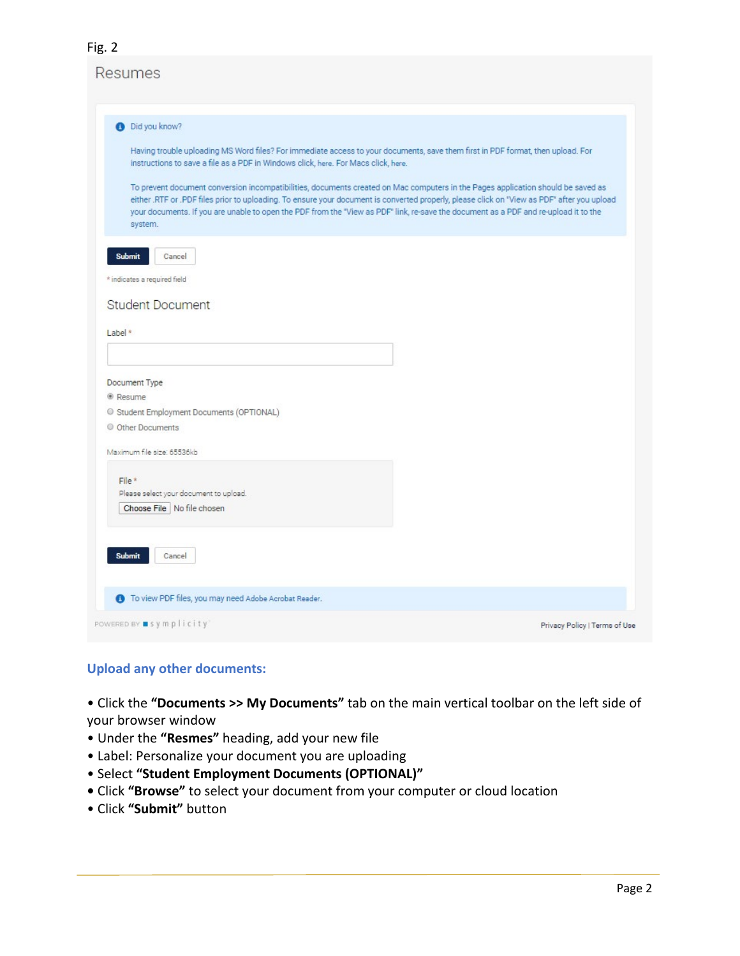## **Resumes**

| <b>O</b> Did you know?<br>Having trouble uploading MS Word files? For immediate access to your documents, save them first in PDF format, then upload. For<br>instructions to save a file as a PDF in Windows click, here. For Macs click, here.<br>To prevent document conversion incompatibilities, documents created on Mac computers in the Pages application should be saved as<br>either .RTF or .PDF files prior to uploading. To ensure your document is converted properly, please click on "View as PDF" after you upload |                               |
|------------------------------------------------------------------------------------------------------------------------------------------------------------------------------------------------------------------------------------------------------------------------------------------------------------------------------------------------------------------------------------------------------------------------------------------------------------------------------------------------------------------------------------|-------------------------------|
|                                                                                                                                                                                                                                                                                                                                                                                                                                                                                                                                    |                               |
|                                                                                                                                                                                                                                                                                                                                                                                                                                                                                                                                    |                               |
| your documents. If you are unable to open the PDF from the "View as PDF" link, re-save the document as a PDF and re-upload it to the<br>system.                                                                                                                                                                                                                                                                                                                                                                                    |                               |
| <b>Submit</b><br>Cancel                                                                                                                                                                                                                                                                                                                                                                                                                                                                                                            |                               |
| * indicates a required field                                                                                                                                                                                                                                                                                                                                                                                                                                                                                                       |                               |
| <b>Student Document</b>                                                                                                                                                                                                                                                                                                                                                                                                                                                                                                            |                               |
|                                                                                                                                                                                                                                                                                                                                                                                                                                                                                                                                    |                               |
| Labe <sup>*</sup>                                                                                                                                                                                                                                                                                                                                                                                                                                                                                                                  |                               |
|                                                                                                                                                                                                                                                                                                                                                                                                                                                                                                                                    |                               |
| Document Type                                                                                                                                                                                                                                                                                                                                                                                                                                                                                                                      |                               |
| <sup>®</sup> Resume                                                                                                                                                                                                                                                                                                                                                                                                                                                                                                                |                               |
| Student Employment Documents (OPTIONAL)                                                                                                                                                                                                                                                                                                                                                                                                                                                                                            |                               |
| © Other Documents                                                                                                                                                                                                                                                                                                                                                                                                                                                                                                                  |                               |
| Maximum file size: 65536kb                                                                                                                                                                                                                                                                                                                                                                                                                                                                                                         |                               |
| File*                                                                                                                                                                                                                                                                                                                                                                                                                                                                                                                              |                               |
| Please select your document to upload.                                                                                                                                                                                                                                                                                                                                                                                                                                                                                             |                               |
| Choose File   No file chosen                                                                                                                                                                                                                                                                                                                                                                                                                                                                                                       |                               |
|                                                                                                                                                                                                                                                                                                                                                                                                                                                                                                                                    |                               |
| <b>Submit</b><br>Cancel                                                                                                                                                                                                                                                                                                                                                                                                                                                                                                            |                               |
| <b>6</b> To view PDF files, you may need Adobe Acrobat Reader.                                                                                                                                                                                                                                                                                                                                                                                                                                                                     |                               |
| POWERED BY ■ Symplicity'                                                                                                                                                                                                                                                                                                                                                                                                                                                                                                           | Privacy Policy   Terms of Use |

# **Upload any other documents:**

• Click the **"Documents >> My Documents"** tab on the main vertical toolbar on the left side of your browser window

- Under the **"Resmes"** heading, add your new file
- Label: Personalize your document you are uploading
- Select **"Student Employment Documents (OPTIONAL)"**
- Click **"Browse"** to select your document from your computer or cloud location
- Click **"Submit"** button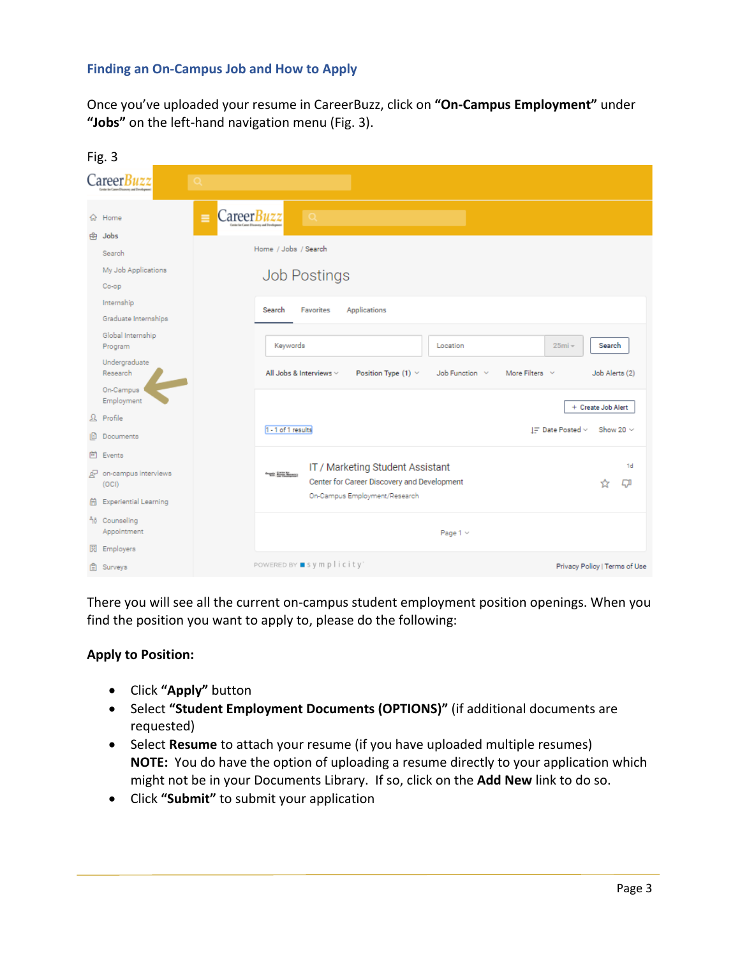### **Finding an On-Campus Job and How to Apply**

Once you've uploaded your resume in CareerBuzz, click on **"On-Campus Employment"** under **"Jobs"** on the left-hand navigation menu (Fig. 3).

|   | Fig. 3                             |                                                                                                         |                               |
|---|------------------------------------|---------------------------------------------------------------------------------------------------------|-------------------------------|
|   | Career Buzz                        |                                                                                                         |                               |
|   | Ξ<br>G Home<br>की Jobs             | CareerBuzz<br>LΟ                                                                                        |                               |
|   | Search                             | Home / Jobs / Search                                                                                    |                               |
|   | My Job Applications<br>Co-op       | <b>Job Postings</b>                                                                                     |                               |
|   | Internship<br>Graduate Internships | Applications<br><b>Favorites</b><br>Search                                                              |                               |
|   | Global Internship<br>Program       | Keywords<br>$25mi -$<br>Location                                                                        | Search                        |
|   | Undergraduate<br>Research          | All Jobs & Interviews $\vee$<br>Position Type $(1)$ $\vee$<br>Job Function ~<br>More Filters $\vee$     | Job Alerts (2)                |
|   | On-Campus<br>Employment            |                                                                                                         | + Create Job Alert            |
|   | $\Omega$ Profile                   |                                                                                                         |                               |
|   | <b>Documents</b>                   | 1 - 1 of 1 results<br>IF Date Posted ~                                                                  | Show 20 $\sim$                |
|   | 问 Events                           |                                                                                                         | 1 <sub>d</sub>                |
|   | on-campus interviews<br>(OCI)      | IT / Marketing Student Assistant<br>Graph Street Monacco<br>Center for Career Discovery and Development | ГI<br>☆                       |
| 囹 | <b>Experiential Learning</b>       | On-Campus Employment/Research                                                                           |                               |
|   | no Counseling<br>Appointment       | Page $1 \vee$                                                                                           |                               |
|   | 园 Employers                        |                                                                                                         |                               |
|   | <b>白</b> Surveys                   | POWERED BY ■ symplicity'                                                                                | Privacy Policy   Terms of Use |

There you will see all the current on-campus student employment position openings. When you find the position you want to apply to, please do the following:

### **Apply to Position:**

- Click **"Apply"** button
- Select **"Student Employment Documents (OPTIONS)"** (if additional documents are requested)
- Select **Resume** to attach your resume (if you have uploaded multiple resumes) **NOTE:** You do have the option of uploading a resume directly to your application which might not be in your Documents Library. If so, click on the **Add New** link to do so.
- Click **"Submit"** to submit your application